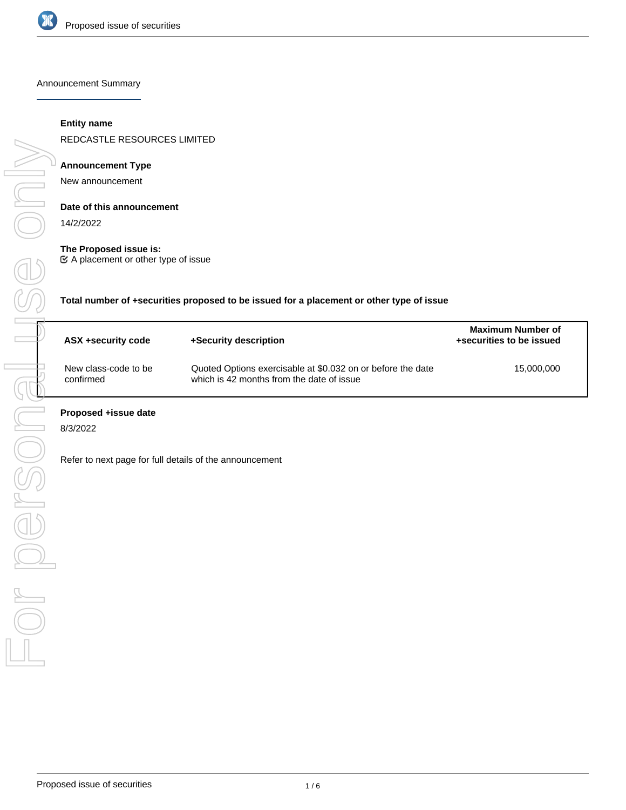

Announcement Summary

## **Entity name**

REDCASTLE RESOURCES LIMITED

## **Announcement Type**

New announcement

#### **Date of this announcement**

14/2/2022

## **The Proposed issue is:**

A placement or other type of issue

**Total number of +securities proposed to be issued for a placement or other type of issue**

| ASX +security code                | +Security description                                                                                    | <b>Maximum Number of</b><br>+securities to be issued |
|-----------------------------------|----------------------------------------------------------------------------------------------------------|------------------------------------------------------|
| New class-code to be<br>confirmed | Quoted Options exercisable at \$0.032 on or before the date<br>which is 42 months from the date of issue | 15,000,000                                           |

### **Proposed +issue date**

8/3/2022

Refer to next page for full details of the announcement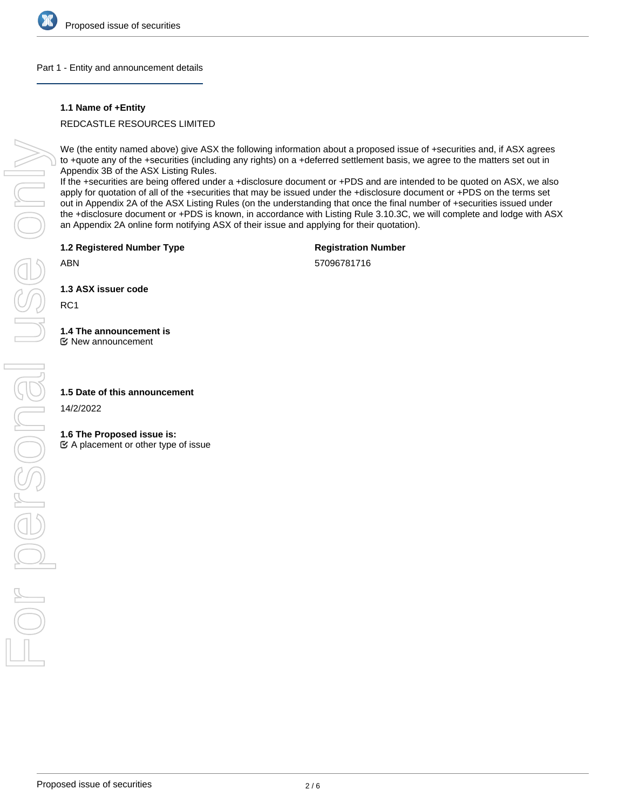

## Part 1 - Entity and announcement details

## **1.1 Name of +Entity**

REDCASTLE RESOURCES LIMITED

We (the entity named above) give ASX the following information about a proposed issue of +securities and, if ASX agrees to +quote any of the +securities (including any rights) on a +deferred settlement basis, we agree to the matters set out in Appendix 3B of the ASX Listing Rules.

If the +securities are being offered under a +disclosure document or +PDS and are intended to be quoted on ASX, we also apply for quotation of all of the +securities that may be issued under the +disclosure document or +PDS on the terms set out in Appendix 2A of the ASX Listing Rules (on the understanding that once the final number of +securities issued under the +disclosure document or +PDS is known, in accordance with Listing Rule 3.10.3C, we will complete and lodge with ASX an Appendix 2A online form notifying ASX of their issue and applying for their quotation).

**1.2 Registered Number Type**

**Registration Number**

ABN

57096781716

**1.3 ASX issuer code**

RC1

# **1.4 The announcement is**

New announcement

## **1.5 Date of this announcement**

14/2/2022

## **1.6 The Proposed issue is:**

 $\mathfrak{C}$  A placement or other type of issue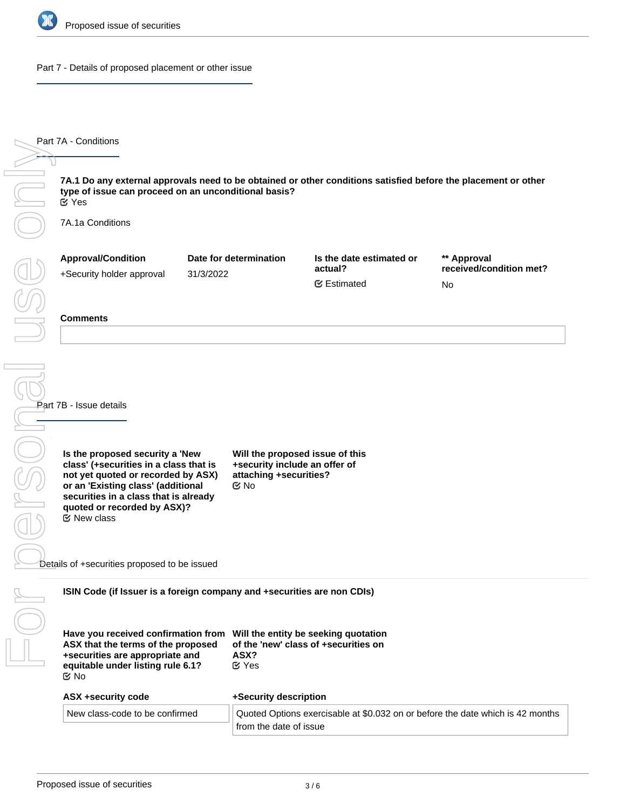

Part 7 - Details of proposed placement or other issue

**7A.1 Do any external approvals need to be obtained or other conditions satisfied before the placement or other type of issue can proceed on an unconditional basis?** 7A.1a Conditions **Approval/Condition** +Security holder approval **Date for determination** 31/3/2022 **Is the date estimated or actual? \*\* Approval received/condition met?** No **Comments Part 7B - Issue details Is the proposed security a 'New class' (+securities in a class that is not yet quoted or recorded by ASX) or an 'Existing class' (additional securities in a class that is already quoted or recorded by ASX)? Will the proposed issue of this +security include an offer of attaching +securities?** Details of +securities proposed to be issued **ISIN Code (if Issuer is a foreign company and +securities are non CDIs) Have you received confirmation from Will the entity be seeking quotation ASX that the terms of the proposed +securities are appropriate and equitable under listing rule 6.1? of the 'new' class of +securities on ASX? ASX +security code** New class-code to be confirmed **+Security description** Quoted Options exercisable at \$0.032 on or before the date which is 42 months Yes No No New class Estimated Yes

from the date of issue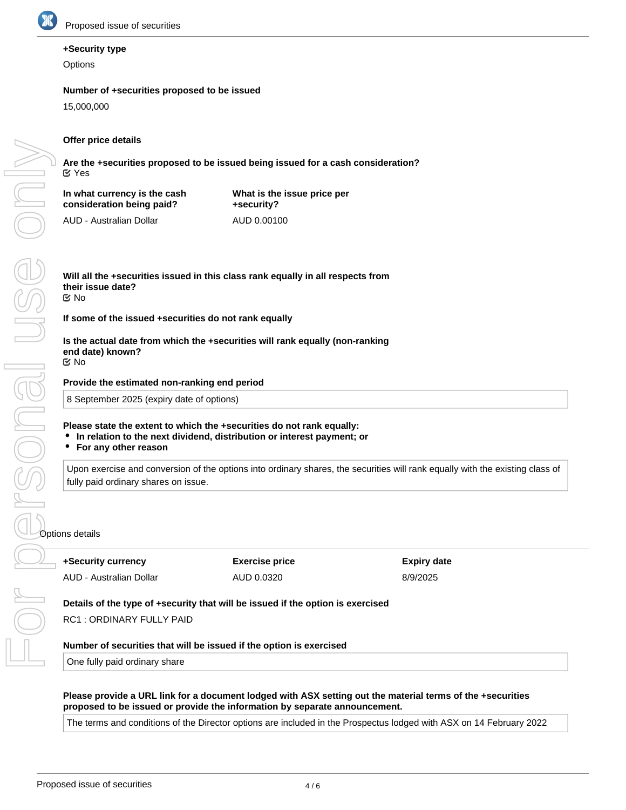

## **+Security type**

**Options** 

## **Number of +securities proposed to be issued**

15,000,000

## **Offer price details**

**Are the +securities proposed to be issued being issued for a cash consideration?** Yes

**In what currency is the cash consideration being paid?**

**What is the issue price per +security?** AUD 0.00100

AUD - Australian Dollar

**Will all the +securities issued in this class rank equally in all respects from their issue date?** No

**If some of the issued +securities do not rank equally**

**Is the actual date from which the +securities will rank equally (non-ranking end date) known?** No

**Provide the estimated non-ranking end period**

8 September 2025 (expiry date of options)

## **Please state the extent to which the +securities do not rank equally:**

- **In relation to the next dividend, distribution or interest payment; or**
- **For any other reason**

Upon exercise and conversion of the options into ordinary shares, the securities will rank equally with the existing class of fully paid ordinary shares on issue.

**+Security currency** AUD - Australian Dollar **Exercise price** AUD 0.0320

**Expiry date** 8/9/2025

**Details of the type of +security that will be issued if the option is exercised**

RC1 : ORDINARY FULLY PAID

## **Number of securities that will be issued if the option is exercised**

One fully paid ordinary share

## **Please provide a URL link for a document lodged with ASX setting out the material terms of the +securities proposed to be issued or provide the information by separate announcement.**

The terms and conditions of the Director options are included in the Prospectus lodged with ASX on 14 February 2022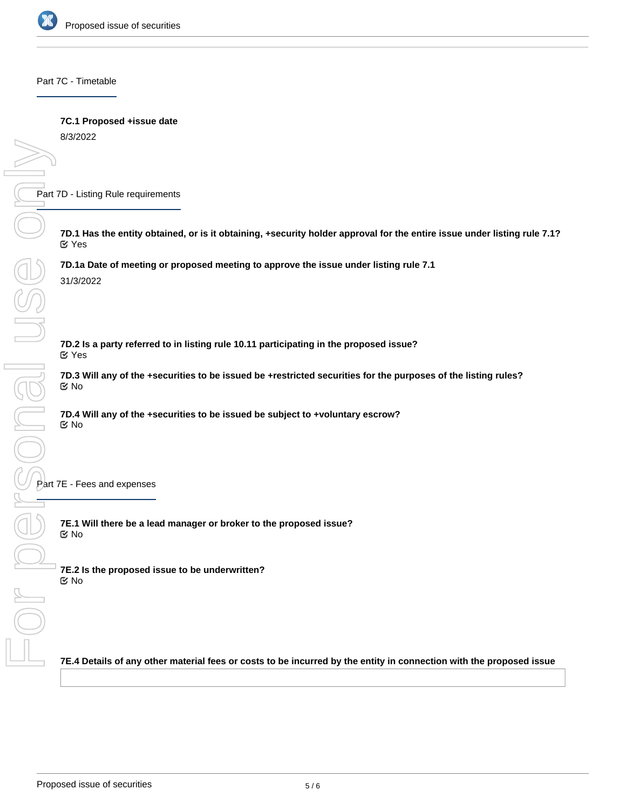

Part 7C - Timetable

## **7C.1 Proposed +issue date**

8/3/2022

Part 7D - Listing Rule requirements

**7D.1 Has the entity obtained, or is it obtaining, +security holder approval for the entire issue under listing rule 7.1?** Yes

**7D.1a Date of meeting or proposed meeting to approve the issue under listing rule 7.1** 31/3/2022

**7D.2 Is a party referred to in listing rule 10.11 participating in the proposed issue?** Yes

**7D.3 Will any of the +securities to be issued be +restricted securities for the purposes of the listing rules?** No

**7D.4 Will any of the +securities to be issued be subject to +voluntary escrow?** No

**7E.1 Will there be a lead manager or broker to the proposed issue?** No

**7E.2 Is the proposed issue to be underwritten?** No

**7E.4 Details of any other material fees or costs to be incurred by the entity in connection with the proposed issue**